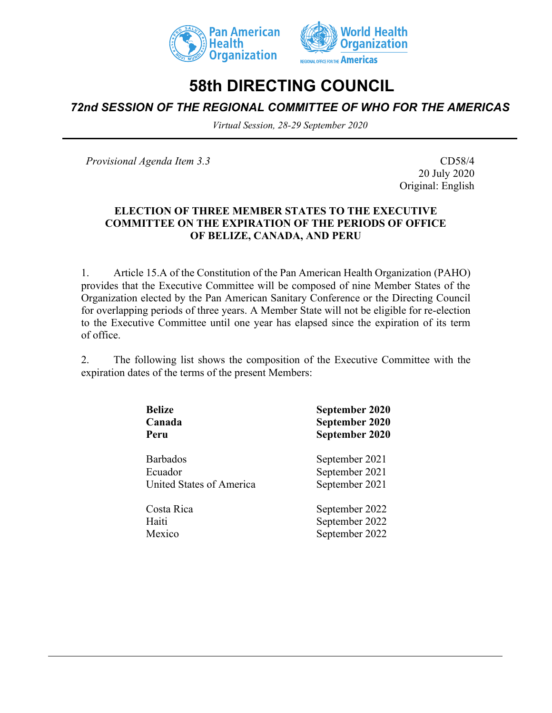



# **58th DIRECTING COUNCIL**

*72nd SESSION OF THE REGIONAL COMMITTEE OF WHO FOR THE AMERICAS*

*Virtual Session, 28-29 September 2020*

*Provisional Agenda Item 3.3* CD58/4

20 July 2020 Original: English

#### **ELECTION OF THREE MEMBER STATES TO THE EXECUTIVE COMMITTEE ON THE EXPIRATION OF THE PERIODS OF OFFICE OF BELIZE, CANADA, AND PERU**

1. Article 15.A of the Constitution of the Pan American Health Organization (PAHO) provides that the Executive Committee will be composed of nine Member States of the Organization elected by the Pan American Sanitary Conference or the Directing Council for overlapping periods of three years. A Member State will not be eligible for re-election to the Executive Committee until one year has elapsed since the expiration of its term of office.

2. The following list shows the composition of the Executive Committee with the expiration dates of the terms of the present Members:

| <b>Belize</b>            | September 2020 |  |  |  |  |  |  |  |
|--------------------------|----------------|--|--|--|--|--|--|--|
| Canada                   | September 2020 |  |  |  |  |  |  |  |
| Peru                     | September 2020 |  |  |  |  |  |  |  |
| <b>Barbados</b>          | September 2021 |  |  |  |  |  |  |  |
| Ecuador                  | September 2021 |  |  |  |  |  |  |  |
| United States of America | September 2021 |  |  |  |  |  |  |  |
| Costa Rica               | September 2022 |  |  |  |  |  |  |  |
| Haiti                    | September 2022 |  |  |  |  |  |  |  |
| Mexico                   | September 2022 |  |  |  |  |  |  |  |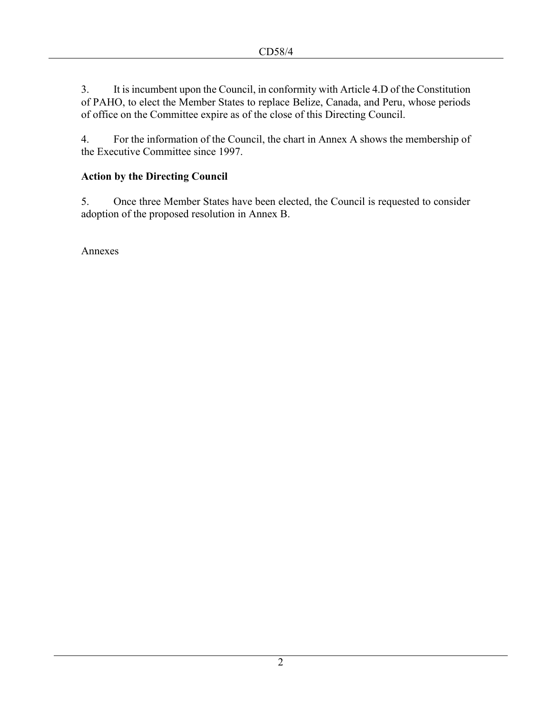3. It is incumbent upon the Council, in conformity with Article 4.D of the Constitution of PAHO, to elect the Member States to replace Belize, Canada, and Peru, whose periods of office on the Committee expire as of the close of this Directing Council.

4. For the information of the Council, the chart in Annex A shows the membership of the Executive Committee since 1997.

## **Action by the Directing Council**

5. Once three Member States have been elected, the Council is requested to consider adoption of the proposed resolution in Annex B.

Annexes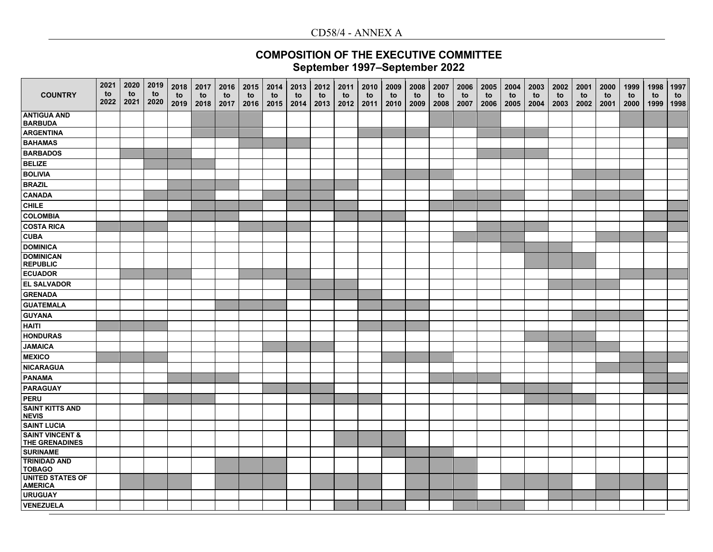### CD58/4 - ANNEX A

## **COMPOSITION OF THE EXECUTIVE COMMITTEE September 1997–September 2022**

| <b>COUNTRY</b>                                      | 2021<br>to<br>2022 | 2020<br>to<br>2021 | 2019<br>to<br>2020 | 2018<br>to<br>2019 | 2017<br>to<br>2018 | 2016<br>to<br>2017 | 2015<br>to<br>2016 | 2014<br>to<br>2015 | 2013<br>to<br>2014 | 2012<br>to<br>2013 | 2011<br>to<br>2012 | 2010<br>to<br>2011 | 2009<br>to<br>2010 | 2008<br>to<br>2009 | 2007<br>to<br>2008 | 2006<br>to<br>2007 | 2005<br>to<br>2006 | 2004<br>to<br>2005 | 2003<br>to<br>2004 | 2002<br>to<br>2003 | 2001<br>to<br>2002 | 2000<br>to<br>2001 | 1999<br>to<br>2000 | 1998<br>to<br>1999 | 1997<br>to<br>1998 |
|-----------------------------------------------------|--------------------|--------------------|--------------------|--------------------|--------------------|--------------------|--------------------|--------------------|--------------------|--------------------|--------------------|--------------------|--------------------|--------------------|--------------------|--------------------|--------------------|--------------------|--------------------|--------------------|--------------------|--------------------|--------------------|--------------------|--------------------|
| <b>ANTIGUA AND</b><br><b>BARBUDA</b>                |                    |                    |                    |                    |                    |                    |                    |                    |                    |                    |                    |                    |                    |                    |                    |                    |                    |                    |                    |                    |                    |                    |                    |                    |                    |
| <b>ARGENTINA</b>                                    |                    |                    |                    |                    |                    |                    |                    |                    |                    |                    |                    |                    |                    |                    |                    |                    |                    |                    |                    |                    |                    |                    |                    |                    |                    |
| <b>BAHAMAS</b>                                      |                    |                    |                    |                    |                    |                    |                    |                    |                    |                    |                    |                    |                    |                    |                    |                    |                    |                    |                    |                    |                    |                    |                    |                    |                    |
| <b>BARBADOS</b>                                     |                    |                    |                    |                    |                    |                    |                    |                    |                    |                    |                    |                    |                    |                    |                    |                    |                    |                    |                    |                    |                    |                    |                    |                    |                    |
| <b>BELIZE</b>                                       |                    |                    |                    |                    |                    |                    |                    |                    |                    |                    |                    |                    |                    |                    |                    |                    |                    |                    |                    |                    |                    |                    |                    |                    |                    |
| <b>BOLIVIA</b>                                      |                    |                    |                    |                    |                    |                    |                    |                    |                    |                    |                    |                    |                    |                    |                    |                    |                    |                    |                    |                    |                    |                    |                    |                    |                    |
| <b>BRAZIL</b>                                       |                    |                    |                    |                    |                    |                    |                    |                    |                    |                    |                    |                    |                    |                    |                    |                    |                    |                    |                    |                    |                    |                    |                    |                    |                    |
| <b>CANADA</b>                                       |                    |                    |                    |                    |                    |                    |                    |                    |                    |                    |                    |                    |                    |                    |                    |                    |                    |                    |                    |                    |                    |                    |                    |                    |                    |
| <b>CHILE</b>                                        |                    |                    |                    |                    |                    |                    |                    |                    |                    |                    |                    |                    |                    |                    |                    |                    |                    |                    |                    |                    |                    |                    |                    |                    |                    |
| <b>COLOMBIA</b>                                     |                    |                    |                    |                    |                    |                    |                    |                    |                    |                    |                    |                    |                    |                    |                    |                    |                    |                    |                    |                    |                    |                    |                    |                    |                    |
| <b>COSTA RICA</b>                                   |                    |                    |                    |                    |                    |                    |                    |                    |                    |                    |                    |                    |                    |                    |                    |                    |                    |                    |                    |                    |                    |                    |                    |                    |                    |
| <b>CUBA</b>                                         |                    |                    |                    |                    |                    |                    |                    |                    |                    |                    |                    |                    |                    |                    |                    |                    |                    |                    |                    |                    |                    |                    |                    |                    |                    |
| <b>DOMINICA</b>                                     |                    |                    |                    |                    |                    |                    |                    |                    |                    |                    |                    |                    |                    |                    |                    |                    |                    |                    |                    |                    |                    |                    |                    |                    |                    |
| <b>DOMINICAN</b><br><b>REPUBLIC</b>                 |                    |                    |                    |                    |                    |                    |                    |                    |                    |                    |                    |                    |                    |                    |                    |                    |                    |                    |                    |                    |                    |                    |                    |                    |                    |
| <b>ECUADOR</b>                                      |                    |                    |                    |                    |                    |                    |                    |                    |                    |                    |                    |                    |                    |                    |                    |                    |                    |                    |                    |                    |                    |                    |                    |                    |                    |
| <b>EL SALVADOR</b>                                  |                    |                    |                    |                    |                    |                    |                    |                    |                    |                    |                    |                    |                    |                    |                    |                    |                    |                    |                    |                    |                    |                    |                    |                    |                    |
| <b>GRENADA</b>                                      |                    |                    |                    |                    |                    |                    |                    |                    |                    |                    |                    |                    |                    |                    |                    |                    |                    |                    |                    |                    |                    |                    |                    |                    |                    |
| <b>GUATEMALA</b>                                    |                    |                    |                    |                    |                    |                    |                    |                    |                    |                    |                    |                    |                    |                    |                    |                    |                    |                    |                    |                    |                    |                    |                    |                    |                    |
| <b>GUYANA</b>                                       |                    |                    |                    |                    |                    |                    |                    |                    |                    |                    |                    |                    |                    |                    |                    |                    |                    |                    |                    |                    |                    |                    |                    |                    |                    |
| <b>HAITI</b>                                        |                    |                    |                    |                    |                    |                    |                    |                    |                    |                    |                    |                    |                    |                    |                    |                    |                    |                    |                    |                    |                    |                    |                    |                    |                    |
| <b>HONDURAS</b>                                     |                    |                    |                    |                    |                    |                    |                    |                    |                    |                    |                    |                    |                    |                    |                    |                    |                    |                    |                    |                    |                    |                    |                    |                    |                    |
| <b>JAMAICA</b>                                      |                    |                    |                    |                    |                    |                    |                    |                    |                    |                    |                    |                    |                    |                    |                    |                    |                    |                    |                    |                    |                    |                    |                    |                    |                    |
| <b>MEXICO</b>                                       |                    |                    |                    |                    |                    |                    |                    |                    |                    |                    |                    |                    |                    |                    |                    |                    |                    |                    |                    |                    |                    |                    |                    |                    |                    |
| <b>NICARAGUA</b>                                    |                    |                    |                    |                    |                    |                    |                    |                    |                    |                    |                    |                    |                    |                    |                    |                    |                    |                    |                    |                    |                    |                    |                    |                    |                    |
| <b>PANAMA</b>                                       |                    |                    |                    |                    |                    |                    |                    |                    |                    |                    |                    |                    |                    |                    |                    |                    |                    |                    |                    |                    |                    |                    |                    |                    |                    |
| <b>PARAGUAY</b>                                     |                    |                    |                    |                    |                    |                    |                    |                    |                    |                    |                    |                    |                    |                    |                    |                    |                    |                    |                    |                    |                    |                    |                    |                    |                    |
| PERU                                                |                    |                    |                    |                    |                    |                    |                    |                    |                    |                    |                    |                    |                    |                    |                    |                    |                    |                    |                    |                    |                    |                    |                    |                    |                    |
| <b>SAINT KITTS AND</b><br><b>NEVIS</b>              |                    |                    |                    |                    |                    |                    |                    |                    |                    |                    |                    |                    |                    |                    |                    |                    |                    |                    |                    |                    |                    |                    |                    |                    |                    |
| <b>SAINT LUCIA</b>                                  |                    |                    |                    |                    |                    |                    |                    |                    |                    |                    |                    |                    |                    |                    |                    |                    |                    |                    |                    |                    |                    |                    |                    |                    |                    |
| <b>SAINT VINCENT &amp;</b><br><b>THE GRENADINES</b> |                    |                    |                    |                    |                    |                    |                    |                    |                    |                    |                    |                    |                    |                    |                    |                    |                    |                    |                    |                    |                    |                    |                    |                    |                    |
| <b>SURINAME</b>                                     |                    |                    |                    |                    |                    |                    |                    |                    |                    |                    |                    |                    |                    |                    |                    |                    |                    |                    |                    |                    |                    |                    |                    |                    |                    |
| <b>TRINIDAD AND</b><br><b>TOBAGO</b>                |                    |                    |                    |                    |                    |                    |                    |                    |                    |                    |                    |                    |                    |                    |                    |                    |                    |                    |                    |                    |                    |                    |                    |                    |                    |
| <b>UNITED STATES OF</b><br><b>AMERICA</b>           |                    |                    |                    |                    |                    |                    |                    |                    |                    |                    |                    |                    |                    |                    |                    |                    |                    |                    |                    |                    |                    |                    |                    |                    |                    |
| <b>URUGUAY</b>                                      |                    |                    |                    |                    |                    |                    |                    |                    |                    |                    |                    |                    |                    |                    |                    |                    |                    |                    |                    |                    |                    |                    |                    |                    |                    |
| <b>VENEZUELA</b>                                    |                    |                    |                    |                    |                    |                    |                    |                    |                    |                    |                    |                    |                    |                    |                    |                    |                    |                    |                    |                    |                    |                    |                    |                    |                    |